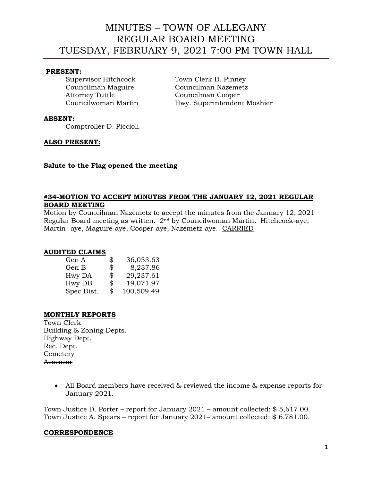# MINUTES – TOWN OF ALLEGANY REGULAR BOARD MEETING TUESDAY, FEBRUARY 9, 2021 7:00 PM TOWN HALL

### **PRESENT:**

Attorney Tuttle Councilman Cooper

Supervisor Hitchcock Town Clerk D. Pinney Councilman Maguire Councilman Nazemetz Councilwoman Martin Hwy. Superintendent Moshier

### **ABSENT:**

Comptroller D. Piccioli

### **ALSO PRESENT:**

### **Salute to the Flag opened the meeting**

### **#34-MOTION TO ACCEPT MINUTES FROM THE JANUARY 12, 2021 REGULAR BOARD MEETING**

Motion by Councilman Nazemetz to accept the minutes from the January 12, 2021 Regular Board meeting as written. 2nd by Councilwoman Martin. Hitchcock-aye, Martin- aye, Maguire-aye, Cooper-aye, Nazemetz-aye. CARRIED

### **AUDITED CLAIMS**

| Gen A      | \$<br>36,053.63  |
|------------|------------------|
| Gen B      | \$<br>8,237.86   |
| Hwy DA     | \$<br>29,237.61  |
| Hwy DB     | \$<br>19,071.97  |
| Spec Dist. | \$<br>100,509.49 |

### **MONTHLY REPORTS**

Town Clerk Building & Zoning Depts. Highway Dept. Rec. Dept. **Cemetery** Assessor

> • All Board members have received & reviewed the income & expense reports for January 2021.

Town Justice D. Porter – report for January 2021 – amount collected: \$ 5,617.00. Town Justice A. Spears – report for January 2021– amount collected: \$ 6,781.00.

### **CORRESPONDENCE**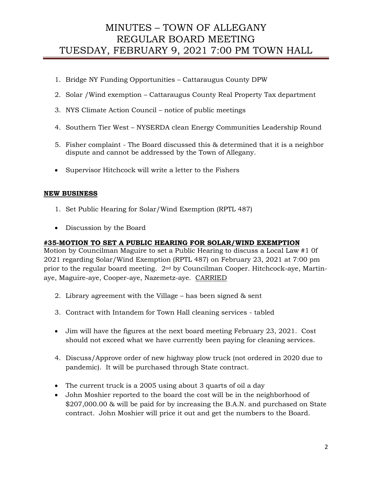# MINUTES – TOWN OF ALLEGANY REGULAR BOARD MEETING TUESDAY, FEBRUARY 9, 2021 7:00 PM TOWN HALL

- 1. Bridge NY Funding Opportunities Cattaraugus County DPW
- 2. Solar /Wind exemption Cattaraugus County Real Property Tax department
- 3. NYS Climate Action Council notice of public meetings
- 4. Southern Tier West NYSERDA clean Energy Communities Leadership Round
- 5. Fisher complaint The Board discussed this & determined that it is a neighbor dispute and cannot be addressed by the Town of Allegany.
- Supervisor Hitchcock will write a letter to the Fishers

### **NEW BUSINESS**

- 1. Set Public Hearing for Solar/Wind Exemption (RPTL 487)
- Discussion by the Board

### **#35-MOTION TO SET A PUBLIC HEARING FOR SOLAR/WIND EXEMPTION**

Motion by Councilman Maguire to set a Public Hearing to discuss a Local Law #1 0f 2021 regarding Solar/Wind Exemption (RPTL 487) on February 23, 2021 at 7:00 pm prior to the regular board meeting. 2nd by Councilman Cooper. Hitchcock-aye, Martinaye, Maguire-aye, Cooper-aye, Nazemetz-aye. CARRIED

- 2. Library agreement with the Village has been signed & sent
- 3. Contract with Intandem for Town Hall cleaning services tabled
- Jim will have the figures at the next board meeting February 23, 2021. Cost should not exceed what we have currently been paying for cleaning services.
- 4. Discuss/Approve order of new highway plow truck (not ordered in 2020 due to pandemic). It will be purchased through State contract.
- The current truck is a 2005 using about 3 quarts of oil a day
- John Moshier reported to the board the cost will be in the neighborhood of \$207,000.00 & will be paid for by increasing the B.A.N. and purchased on State contract. John Moshier will price it out and get the numbers to the Board.